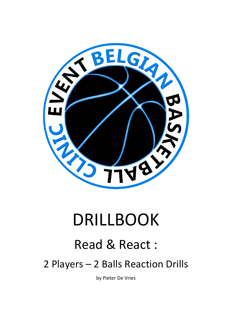

# DRILLBOOK

## Read & React :

2 Players – 2 Balls Reaction Drills

by Pieter De Vries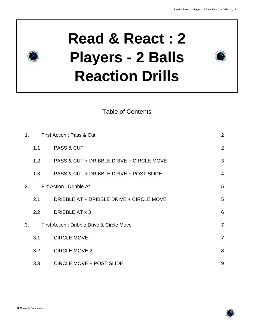

Table of Contents

| $\mathbf 1$ .                 | First Action: Pass & Cut |                                           | $\overline{2}$ |
|-------------------------------|--------------------------|-------------------------------------------|----------------|
|                               | 1.1                      | <b>PASS &amp; CUT</b>                     | 2              |
|                               | 1.2                      | PASS & CUT + DRIBBLE DRIVE + CIRCLE MOVE  | 3              |
|                               | 1.3                      | PASS & CUT + DRIBBLE DRIVE + POST SLIDE   | $\overline{4}$ |
| Firt Action: Dribble At<br>2. |                          |                                           | 5              |
|                               | 2.1                      | DRIBBLE AT + DRIBBLE DRIVE + CIRCLE MOVE  | 5              |
|                               | 2.2                      | DRIBBLE AT x 3                            | 6              |
| 3.                            |                          | First Action: Dribble Drive & Circle Move | $\overline{7}$ |
|                               | 3.1                      | <b>CIRCLE MOVE</b>                        | $\overline{7}$ |
|                               | 3.2                      | <b>CIRCLE MOVE 2</b>                      | 8              |
|                               | 3.3                      | <b>CIRCLE MOVE + POST SLIDE</b>           | 9              |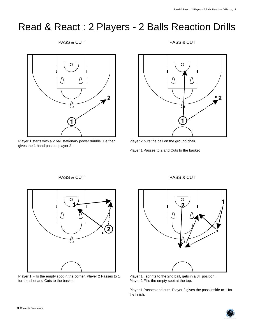PASS & CUT



Player 1 starts with a 2 ball stationary power dribble. He then gives the 1 hand pass to player 2.

PASS & CUT



Player 2 puts the ball on the ground/chair.

Player 1 Passes to 2 and Cuts to the basket

## PASS & CUT



Player 1 Fills the empty spot in the corner. Player 2 Passes to 1 for the shot and Cuts to the basket.

#### PASS & CUT



Player 1 , sprints to the 2nd ball, gets in a 3T position . Player 2 Fills the empty spot at the top.

Player 1 Passes and cuts. Player 2 gives the pass inside to 1 for the finish.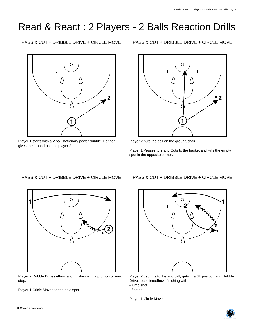PASS & CUT + DRIBBLE DRIVE + CIRCLE MOVE

 $\circ$ **2 1**

Player 1 starts with a 2 ball stationary power dribble. He then gives the 1 hand pass to player 2.

PASS & CUT + DRIBBLE DRIVE + CIRCLE MOVE



Player 2 puts the ball on the ground/chair.

Player 1 Passes to 2 and Cuts to the basket and Fills the empty spot in the opposite corner.

## PASS & CUT + DRIBBLE DRIVE + CIRCLE MOVE



Player 2 Dribble Drives elbow and finishes with a pro hop or euro step.

Player 1 Cricle Moves to the next spot.

PASS & CUT + DRIBBLE DRIVE + CIRCLE MOVE



Player 2 , sprints to the 2nd ball, gets in a 3T position and Dribble Drives baseline/elbow, finishing with :

- jump shot

- floater

Player 1 Circle Moves.

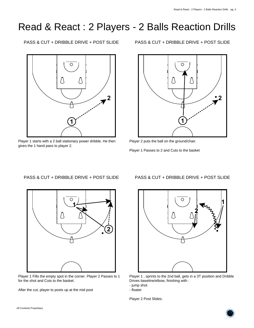PASS & CUT + DRIBBLE DRIVE + POST SLIDE



Player 1 starts with a 2 ball stationary power dribble. He then gives the 1 hand pass to player 2.

PASS & CUT + DRIBBLE DRIVE + POST SLIDE



Player 2 puts the ball on the ground/chair.

Player 1 Passes to 2 and Cuts to the basket

## PASS & CUT + DRIBBLE DRIVE + POST SLIDE



Player 1 Fills the empty spot in the corner. Player 2 Passes to 1 for the shot and Cuts to the basket.

After the cut, player to posts up at the mid post

## PASS & CUT + DRIBBLE DRIVE + POST SLIDE



Player 1 , sprints to the 2nd ball, gets in a 3T position and Dribble Drives baseline/elbow, finishing with :

- jump shot

- floater

Player 2 Post Slides.

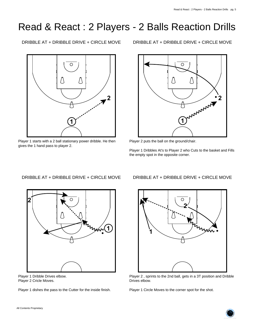DRIBBLE AT + DRIBBLE DRIVE + CIRCLE MOVE

 $\circ$  $\wedge$ **2 1**

Player 1 starts with a 2 ball stationary power dribble. He then gives the 1 hand pass to player 2.

DRIBBLE AT + DRIBBLE DRIVE + CIRCLE MOVE



Player 2 puts the ball on the ground/chair.

Player 1 Dribbles At's to Player 2 who Cuts to the basket and Fills the empty spot in the opposite corner.

## DRIBBLE AT + DRIBBLE DRIVE + CIRCLE MOVE



Player 1 Dribble Drives elbow. Player 2 Cricle Moves.

Player 1 dishes the pass to the Cutter for the inside finish.

## DRIBBLE AT + DRIBBLE DRIVE + CIRCLE MOVE

![](_page_5_Figure_14.jpeg)

Player 2 , sprints to the 2nd ball, gets in a 3T position and Dribble Drives elbow.

Player 1 Circle Moves to the corner spot for the shot.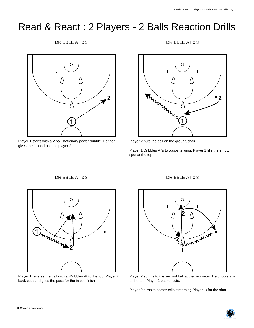DRIBBLE AT x 3

![](_page_6_Figure_3.jpeg)

Player 1 starts with a 2 ball stationary power dribble. He then gives the 1 hand pass to player 2.

DRIBBLE AT x 3

![](_page_6_Figure_6.jpeg)

Player 2 puts the ball on the ground/chair.

Player 1 Dribbles At's to opposite wing. Player 2 fills the empty spot at the top

## DRIBBLE AT x 3

![](_page_6_Figure_10.jpeg)

Player 1 reverse the ball with anDribbles At to the top. Player 2 back cuts and get's the pass for the inside finish

#### DRIBBLE AT x 3

![](_page_6_Figure_13.jpeg)

Player 2 sprints to the second ball at the perimeter. He dribble at's to the top. Player 1 basket cuts.

Player 2 turns to corner (slip streaming Player 1) for the shot.

![](_page_6_Picture_17.jpeg)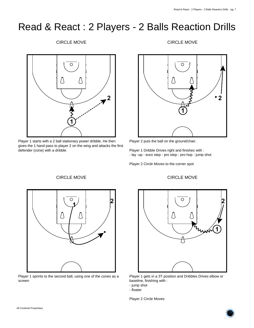#### CIRCLE MOVE

![](_page_7_Figure_3.jpeg)

Player 1 starts with a 2 ball stationary power dribble. He then gives the 1 hand pass to player 2 on the wing and attacks the first defender (cone) with a dribble.

CIRCLE MOVE

#### CIRCLE MOVE

![](_page_7_Figure_6.jpeg)

Player 2 puts the ball on the ground/chair.

Player 1 Dribble Drives right and finishes with : - lay -up - euro step - pro step - pro hop - jump shot

Player 2 Circle Moves to the corner spot

![](_page_7_Figure_10.jpeg)

Player 1 sprints to the second ball, using one of the cones as a screen

# O **2 1**

Player 1 gets in a 3T position and Dribbles Drives elbow or baseline, finishing with :

- jump shot

Player 2 Circle Moves

![](_page_7_Picture_18.jpeg)

#### CIRCLE MOVE

<sup>-</sup> floater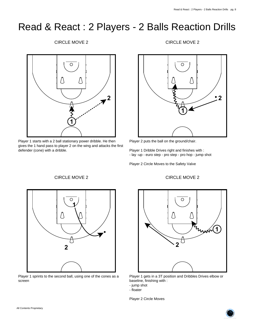#### CIRCLE MOVE 2

![](_page_8_Figure_3.jpeg)

Player 1 starts with a 2 ball stationary power dribble. He then gives the 1 hand pass to player 2 on the wing and attacks the first defender (cone) with a dribble.

CIRCLE MOVE 2

#### CIRCLE MOVE 2

![](_page_8_Figure_6.jpeg)

Player 2 puts the ball on the ground/chair.

Player 1 Dribble Drives right and finishes with : - lay -up - euro step - pro step - pro hop - jump shot

Player 2 Circle Moves to the Safety Valve

![](_page_8_Figure_10.jpeg)

Player 1 sprints to the second ball, using one of the cones as a screen

# O

CIRCLE MOVE 2

![](_page_8_Figure_13.jpeg)

Player 1 gets in a 3T position and Dribbles Drives elbow or baseline, finishing with :

Player 2 Circle Moves

<sup>-</sup> jump shot

<sup>-</sup> floater